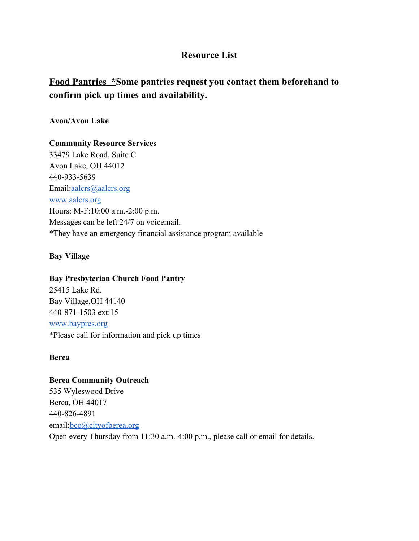# **Resource List**

# **Food Pantries \*Some pantries request you contact them beforehand to confirm pick up times and availability.**

## **Avon/Avon Lake**

#### **Community Resource Services**

33479 Lake Road, Suite C Avon Lake, OH 44012 440-933-5639 Email:[aalcrs@aalcrs.org](mailto:aalcrs@aalcrs.org) [www.aalcrs.org](http://www.aalcrs.org/) Hours: M-F:10:00 a.m.-2:00 p.m. Messages can be left 24/7 on voicemail. \*They have an emergency financial assistance program available

# **Bay Village**

#### **Bay Presbyterian Church Food Pantry**

25415 Lake Rd. Bay Village,OH 44140 440-871-1503 ext:15 [www.baypres.org](http://www.baypres.org/) \*Please call for information and pick up times

#### **Berea**

**Berea Community Outreach** 535 Wyleswood Drive Berea, OH 44017 440-826-4891 email:[bco@cityofberea.org](mailto:bco@cityofberea.org) Open every Thursday from 11:30 a.m.-4:00 p.m., please call or email for details.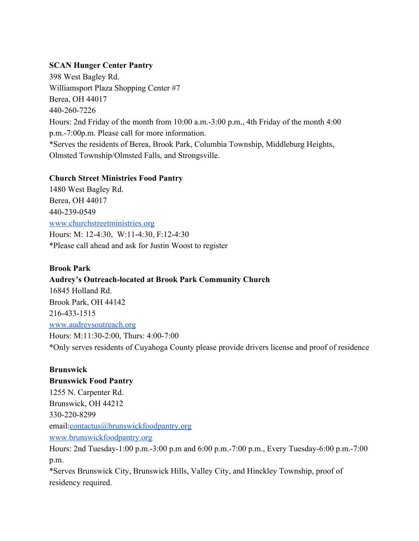# **SCAN Hunger Center Pantry**

398 West Bagley Rd. Williamsport Plaza Shopping Center #7 Berea, OH 44017 440-260-7226 Hours: 2nd Friday of the month from 10:00 a.m.-3:00 p.m., 4th Friday of the month 4:00 p.m.-7:00p.m. Please call for more information. \*Serves the residents of Berea, Brook Park, Columbia Township, Middleburg Heights, Olmsted Township/Olmsted Falls, and Strongsville.

## **Church Street Ministries Food Pantry**

1480 West Bagley Rd. Berea, OH 44017 440-239-0549 [www.churchstreetministries.org](http://www.churchstreetministries.org/) Hours: M: 12-4:30, W:11-4:30, F:12-4:30 \*Please call ahead and ask for Justin Woost to register

# **Brook Park**

#### **Audrey's Outreach-located at Brook Park Community Church**

16845 Holland Rd. Brook Park, OH 44142 216-433-1515 [www.audreysoutreach.org](http://www.audreysoutreach.org/) Hours: M:11:30-2:00, Thurs: 4:00-7:00 \*Only serves residents of Cuyahoga County please provide drivers license and proof of residence

# **Brunswick**

## **Brunswick Food Pantry**

1255 N. Carpenter Rd. Brunswick, OH 44212 330-220-8299 email:[contactus@brunswickfoodpantry.org](mailto:contactus@brunswickfoodpantry.org) [www.brunswickfoodpantry.org](http://www.brunswickfoodpantry.org/)

Hours: 2nd Tuesday-1:00 p.m.-3:00 p.m and 6:00 p.m.-7:00 p.m., Every Tuesday-6:00 p.m.-7:00 p.m.

\*Serves Brunswick City, Brunswick Hills, Valley City, and Hinckley Township, proof of residency required.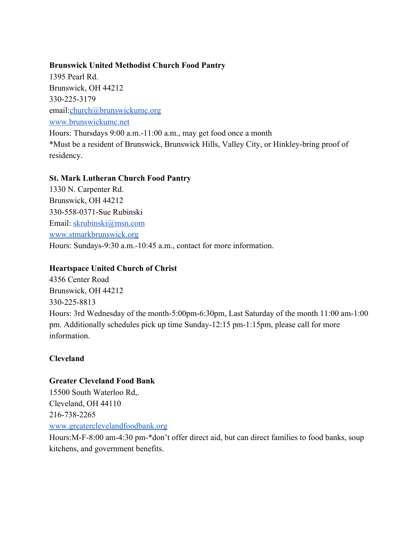## **Brunswick United Methodist Church Food Pantry**

1395 Pearl Rd. Brunswick, OH 44212 330-225-3179 email:[church@brunswickumc.org](mailto:church@brunswickumc.org) [www.brunswickumc.net](http://www.brunswickumc.net/) Hours: Thursdays 9:00 a.m.-11:00 a.m., may get food once a month \*Must be a resident of Brunswick, Brunswick Hills, Valley City, or Hinkley-bring proof of residency.

# **St. Mark Lutheran Church Food Pantry**

1330 N. Carpenter Rd. Brunswick, OH 44212 330-558-0371-Sue Rubinski Email: [skrubinski@msn.com](mailto:skrubinski@msn.com) [www.stmarkbrunswick.org](http://www.stmarkbrunswick.org/) Hours: Sundays-9:30 a.m.-10:45 a.m., contact for more information.

# **Heartspace United Church of Christ**

4356 Center Road Brunswick, OH 44212 330-225-8813 Hours: 3rd Wednesday of the month-5:00pm-6:30pm, Last Saturday of the month 11:00 am-1:00 pm. Additionally schedules pick up time Sunday-12:15 pm-1:15pm, please call for more information.

# **Cleveland**

# **Greater Cleveland Food Bank**

15500 South Waterloo Rd,. Cleveland, OH 44110 216-738-2265 [www.greaterclevelandfoodbank.org](http://www.greaterclevelandfoodbank.org/)

Hours:M-F-8:00 am-4:30 pm-\*don't offer direct aid, but can direct families to food banks, soup kitchens, and government benefits.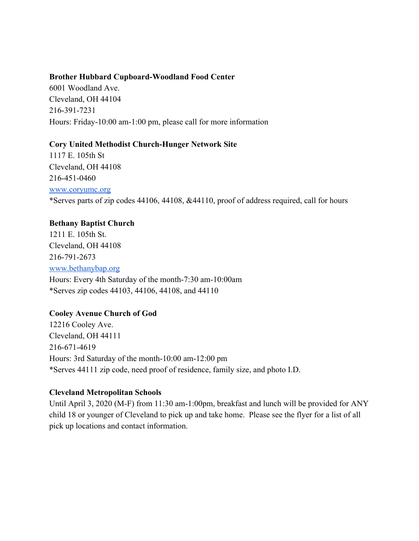#### **Brother Hubbard Cupboard-Woodland Food Center**

6001 Woodland Ave. Cleveland, OH 44104 216-391-7231 Hours: Friday-10:00 am-1:00 pm, please call for more information

#### **Cory United Methodist Church-Hunger Network Site**

1117 E. 105th St Cleveland, OH 44108 216-451-0460 [www.coryumc.org](http://www.coryumc.org/) \*Serves parts of zip codes 44106, 44108, &44110, proof of address required, call for hours

## **Bethany Baptist Church**

1211 E. 105th St. Cleveland, OH 44108 216-791-2673 [www.bethanybap.org](http://www.bethanybap.org/) Hours: Every 4th Saturday of the month-7:30 am-10:00am \*Serves zip codes 44103, 44106, 44108, and 44110

## **Cooley Avenue Church of God**

12216 Cooley Ave. Cleveland, OH 44111 216-671-4619 Hours: 3rd Saturday of the month-10:00 am-12:00 pm \*Serves 44111 zip code, need proof of residence, family size, and photo I.D.

#### **Cleveland Metropolitan Schools**

Until April 3, 2020 (M-F) from 11:30 am-1:00pm, breakfast and lunch will be provided for ANY child 18 or younger of Cleveland to pick up and take home. Please see the flyer for a list of all pick up locations and contact information.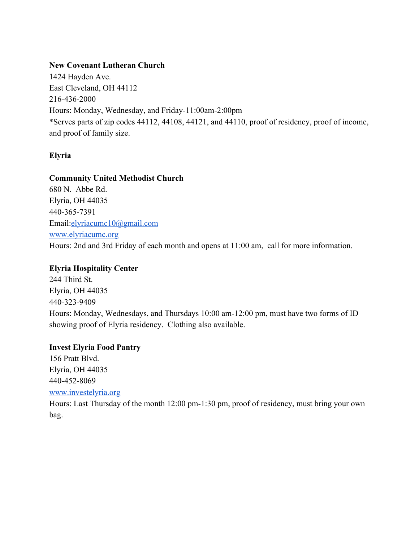#### **New Covenant Lutheran Church**

1424 Hayden Ave. East Cleveland, OH 44112 216-436-2000 Hours: Monday, Wednesday, and Friday-11:00am-2:00pm \*Serves parts of zip codes 44112, 44108, 44121, and 44110, proof of residency, proof of income, and proof of family size.

## **Elyria**

#### **Community United Methodist Church**

680 N. Abbe Rd. Elyria, OH 44035 440-365-7391 Email:[elyriacumc10@gmail.com](mailto:elyriacumc10@gmail.com) [www.elyriacumc.org](http://www.elyriacumc.org/) Hours: 2nd and 3rd Friday of each month and opens at 11:00 am, call for more information.

## **Elyria Hospitality Center**

244 Third St. Elyria, OH 44035 440-323-9409 Hours: Monday, Wednesdays, and Thursdays 10:00 am-12:00 pm, must have two forms of ID showing proof of Elyria residency. Clothing also available.

## **Invest Elyria Food Pantry**

156 Pratt Blvd. Elyria, OH 44035 440-452-8069 [www.investelyria.org](http://www.investelyria.org/) Hours: Last Thursday of the month 12:00 pm-1:30 pm, proof of residency, must bring your own bag.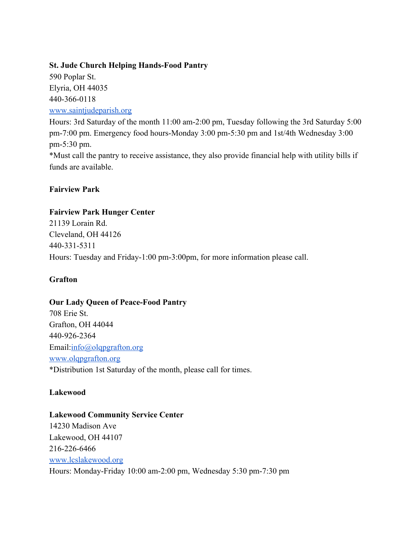## **St. Jude Church Helping Hands-Food Pantry**

590 Poplar St. Elyria, OH 44035 440-366-0118 [www.saintjudeparish.org](http://www.saintjudeparish.org/)

Hours: 3rd Saturday of the month 11:00 am-2:00 pm, Tuesday following the 3rd Saturday 5:00 pm-7:00 pm. Emergency food hours-Monday 3:00 pm-5:30 pm and 1st/4th Wednesday 3:00 pm-5:30 pm. \*Must call the pantry to receive assistance, they also provide financial help with utility bills if funds are available.

# **Fairview Park**

# **Fairview Park Hunger Center**

21139 Lorain Rd. Cleveland, OH 44126 440-331-5311 Hours: Tuesday and Friday-1:00 pm-3:00pm, for more information please call.

# **Grafton**

# **Our Lady Queen of Peace-Food Pantry**

708 Erie St. Grafton, OH 44044 440-926-2364 Email:[info@olqpgrafton.org](mailto:info@olqpgrafton.org) [www.olqpgrafton.org](http://www.olqpgrafton.org/) \*Distribution 1st Saturday of the month, please call for times.

## **Lakewood**

## **Lakewood Community Service Center**

14230 Madison Ave Lakewood, OH 44107 216-226-6466 [www.lcslakewood.org](http://www.lcslakewood.org/) Hours: Monday-Friday 10:00 am-2:00 pm, Wednesday 5:30 pm-7:30 pm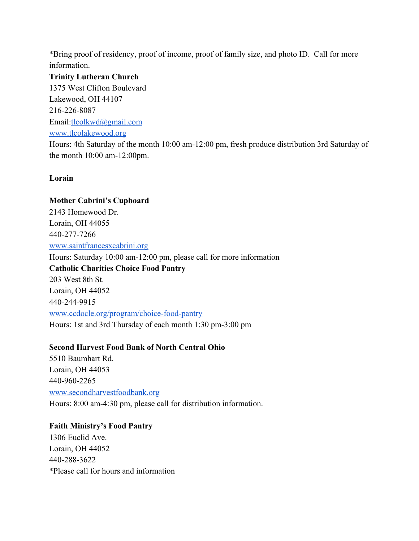\*Bring proof of residency, proof of income, proof of family size, and photo ID. Call for more information.

**Trinity Lutheran Church** 1375 West Clifton Boulevard Lakewood, OH 44107 216-226-8087 Email:[tlcolkwd@gmail.com](mailto:tlcolkwd@gmail.com) [www.tlcolakewood.org](http://www.tlcolakewood.org/) Hours: 4th Saturday of the month 10:00 am-12:00 pm, fresh produce distribution 3rd Saturday of the month 10:00 am-12:00pm.

#### **Lorain**

**Mother Cabrini's Cupboard** 2143 Homewood Dr. Lorain, OH 44055 440-277-7266 [www.saintfrancesxcabrini.org](http://www.saintfrancesxcabrini.org/) Hours: Saturday 10:00 am-12:00 pm, please call for more information **Catholic Charities Choice Food Pantry** 203 West 8th St. Lorain, OH 44052 440-244-9915 [www.ccdocle.org/program/choice-food-pantry](http://www.ccdocle.org/program/choice-food-pantry) Hours: 1st and 3rd Thursday of each month 1:30 pm-3:00 pm

## **Second Harvest Food Bank of North Central Ohio**

5510 Baumhart Rd. Lorain, OH 44053 440-960-2265 [www.secondharvestfoodbank.org](http://www.secondharvestfoodbank.org/) Hours: 8:00 am-4:30 pm, please call for distribution information.

# **Faith Ministry's Food Pantry** 1306 Euclid Ave. Lorain, OH 44052 440-288-3622

\*Please call for hours and information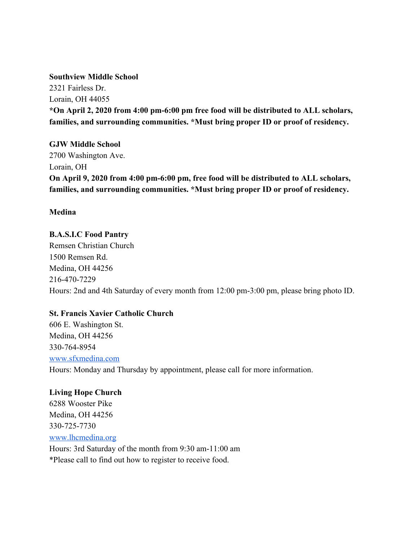#### **Southview Middle School**

2321 Fairless Dr. Lorain, OH 44055 **\*On April 2, 2020 from 4:00 pm-6:00 pm free food will be distributed to ALL scholars, families, and surrounding communities. \*Must bring proper ID or proof of residency.**

**GJW Middle School** 2700 Washington Ave. Lorain, OH **On April 9, 2020 from 4:00 pm-6:00 pm, free food will be distributed to ALL scholars, families, and surrounding communities. \*Must bring proper ID or proof of residency.**

**Medina**

# **B.A.S.I.C Food Pantry**

Remsen Christian Church 1500 Remsen Rd. Medina, OH 44256 216-470-7229 Hours: 2nd and 4th Saturday of every month from 12:00 pm-3:00 pm, please bring photo ID.

## **St. Francis Xavier Catholic Church**

606 E. Washington St. Medina, OH 44256 330-764-8954 [www.sfxmedina.com](http://www.sfxmedina.com/) Hours: Monday and Thursday by appointment, please call for more information.

**Living Hope Church** 6288 Wooster Pike Medina, OH 44256 330-725-7730 [www.lhcmedina.org](http://www.lhcmedina.org/) Hours: 3rd Saturday of the month from 9:30 am-11:00 am \*Please call to find out how to register to receive food.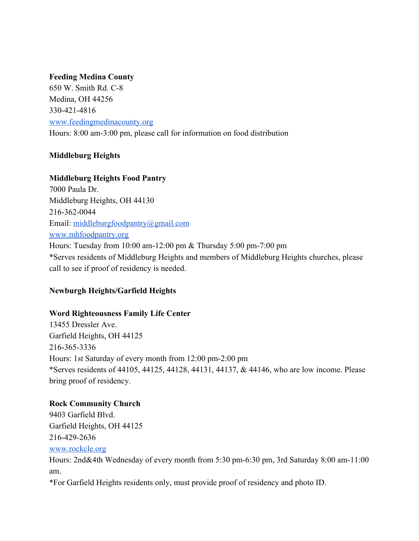## **Feeding Medina County**

650 W. Smith Rd. C-8 Medina, OH 44256 330-421-4816 [www.feedingmedinacounty.org](http://www.feedingmedinacounty.org/) Hours: 8:00 am-3:00 pm, please call for information on food distribution

# **Middleburg Heights**

# **Middleburg Heights Food Pantry**

7000 Paula Dr. Middleburg Heights, OH 44130 216-362-0044 Email: [middleburgfoodpantry@gmail.com](mailto:middleburgfoodpantry@gmail.com) [www.mhfoodpantry.org](http://www.mhfoodpantry.org/) Hours: Tuesday from 10:00 am-12:00 pm & Thursday 5:00 pm-7:00 pm \*Serves residents of Middleburg Heights and members of Middleburg Heights churches, please call to see if proof of residency is needed.

# **Newburgh Heights/Garfield Heights**

## **Word Righteousness Family Life Center**

13455 Dressler Ave. Garfield Heights, OH 44125 216-365-3336 Hours: 1st Saturday of every month from 12:00 pm-2:00 pm \*Serves residents of 44105, 44125, 44128, 44131, 44137, & 44146, who are low income. Please bring proof of residency.

## **Rock Community Church**

9403 Garfield Blvd. Garfield Heights, OH 44125 216-429-2636 [www.rockcle.org](http://www.rockcle.org/)

Hours: 2nd&4th Wednesday of every month from 5:30 pm-6:30 pm, 3rd Saturday 8:00 am-11:00 am.

\*For Garfield Heights residents only, must provide proof of residency and photo ID.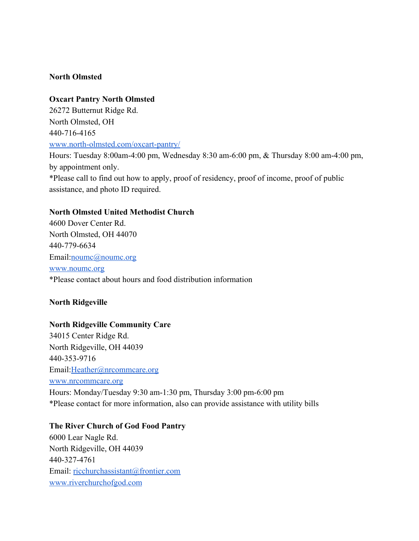#### **North Olmsted**

**Oxcart Pantry North Olmsted** 26272 Butternut Ridge Rd. North Olmsted, OH 440-716-4165 [www.north-olmsted.com/oxcart-pantry/](http://www.north-olmsted.com/oxcart-pantry/)

Hours: Tuesday 8:00am-4:00 pm, Wednesday 8:30 am-6:00 pm, & Thursday 8:00 am-4:00 pm, by appointment only. \*Please call to find out how to apply, proof of residency, proof of income, proof of public assistance, and photo ID required.

#### **North Olmsted United Methodist Church**

4600 Dover Center Rd. North Olmsted, OH 44070 440-779-6634 Email:*[noumc@noumc.org](mailto:noumc@noumc.org)* [www.noumc.org](http://www.noumc.org/) \*Please contact about hours and food distribution information

#### **North Ridgeville**

#### **North Ridgeville Community Care**

34015 Center Ridge Rd. North Ridgeville, OH 44039 440-353-9716 Email:[Heather@nrcommcare.org](mailto:Heather@nrcommcare.org) [www.nrcommcare.org](http://www.nrcommcare.org/) Hours: Monday/Tuesday 9:30 am-1:30 pm, Thursday 3:00 pm-6:00 pm \*Please contact for more information, also can provide assistance with utility bills

#### **The River Church of God Food Pantry**

6000 Lear Nagle Rd. North Ridgeville, OH 44039 440-327-4761 Email: [ricchurchassistant@frontier.com](mailto:ricchurchassistant@frontier.com) [www.riverchurchofgod.com](http://www.riverchurchofgod.com/)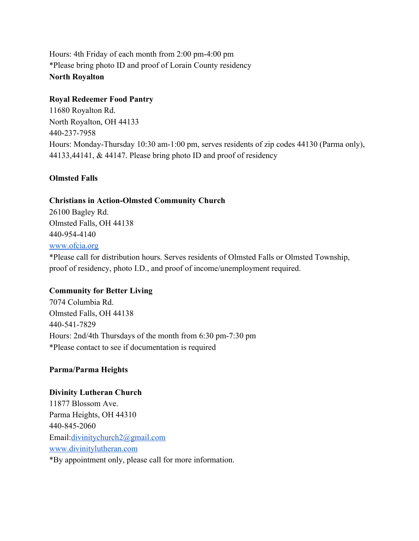Hours: 4th Friday of each month from 2:00 pm-4:00 pm \*Please bring photo ID and proof of Lorain County residency **North Royalton**

## **Royal Redeemer Food Pantry**

11680 Royalton Rd. North Royalton, OH 44133 440-237-7958 Hours: Monday-Thursday 10:30 am-1:00 pm, serves residents of zip codes 44130 (Parma only), 44133,44141, & 44147. Please bring photo ID and proof of residency

# **Olmsted Falls**

# **Christians in Action-Olmsted Community Church**

26100 Bagley Rd. Olmsted Falls, OH 44138 440-954-4140 [www.ofcia.org](http://www.ofcia.org/) \*Please call for distribution hours. Serves residents of Olmsted Falls or Olmsted Township, proof of residency, photo I.D., and proof of income/unemployment required.

# **Community for Better Living**

7074 Columbia Rd. Olmsted Falls, OH 44138 440-541-7829 Hours: 2nd/4th Thursdays of the month from 6:30 pm-7:30 pm \*Please contact to see if documentation is required

# **Parma/Parma Heights**

## **Divinity Lutheran Church**

11877 Blossom Ave. Parma Heights, OH 44310 440-845-2060 Email:[divinitychurch2@gmail.com](mailto:divinitychurch2@gmail.com) [www.divinitylutheran.com](http://www.divinitylutheran.com/) \*By appointment only, please call for more information.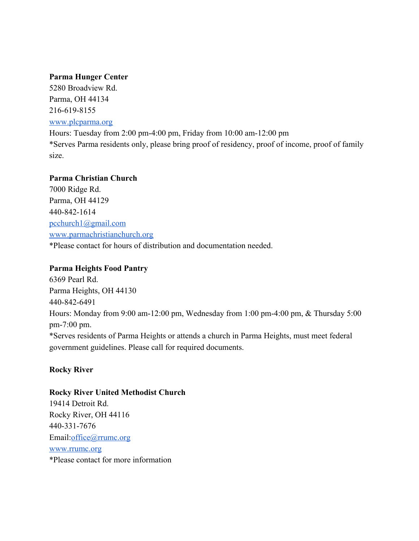#### **Parma Hunger Center**

5280 Broadview Rd. Parma, OH 44134 216-619-8155 [www.plcparma.org](http://www.plcparma.org/)

Hours: Tuesday from 2:00 pm-4:00 pm, Friday from 10:00 am-12:00 pm \*Serves Parma residents only, please bring proof of residency, proof of income, proof of family size.

## **Parma Christian Church**

7000 Ridge Rd. Parma, OH 44129 440-842-1614 [pcchurch1@gmail.com](mailto:pcchurch1@gmail.com) [www.parmachristianchurch.org](http://www.parmachristianchurch.org/) \*Please contact for hours of distribution and documentation needed.

## **Parma Heights Food Pantry**

6369 Pearl Rd. Parma Heights, OH 44130 440-842-6491 Hours: Monday from 9:00 am-12:00 pm, Wednesday from 1:00 pm-4:00 pm, & Thursday 5:00 pm-7:00 pm. \*Serves residents of Parma Heights or attends a church in Parma Heights, must meet federal government guidelines. Please call for required documents.

## **Rocky River**

#### **Rocky River United Methodist Church**

19414 Detroit Rd. Rocky River, OH 44116 440-331-7676 Email:[office@rrumc.org](mailto:office@rrumc.org) [www.rrumc.org](http://www.rrumc.org/) \*Please contact for more information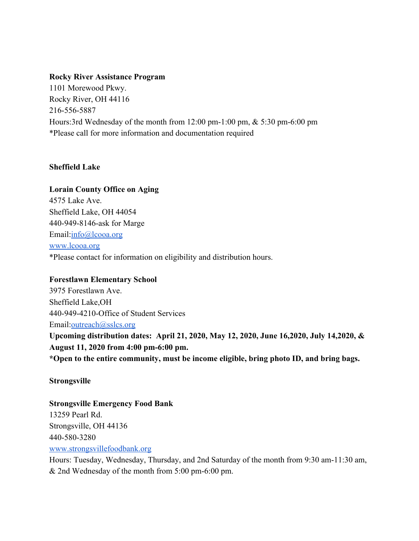#### **Rocky River Assistance Program**

1101 Morewood Pkwy. Rocky River, OH 44116 216-556-5887 Hours:3rd Wednesday of the month from 12:00 pm-1:00 pm, & 5:30 pm-6:00 pm \*Please call for more information and documentation required

## **Sheffield Lake**

#### **Lorain County Office on Aging**

4575 Lake Ave. Sheffield Lake, OH 44054 440-949-8146-ask for Marge Email: [info@lcooa.org](mailto:info@lcooa.org) [www.lcooa.org](http://www.lcooa.org/) \*Please contact for information on eligibility and distribution hours.

## **Forestlawn Elementary School**

3975 Forestlawn Ave. Sheffield Lake,OH 440-949-4210-Office of Student Services Email:[outreach@sslcs.org](mailto:outreach@sslcs.org) **Upcoming distribution dates: April 21, 2020, May 12, 2020, June 16,2020, July 14,2020, & August 11, 2020 from 4:00 pm-6:00 pm.**

**\*Open to the entire community, must be income eligible, bring photo ID, and bring bags.**

## **Strongsville**

# **Strongsville Emergency Food Bank** 13259 Pearl Rd. Strongsville, OH 44136

440-580-3280 [www.strongsvillefoodbank.org](http://www.strongsvillefoodbank.org/)

Hours: Tuesday, Wednesday, Thursday, and 2nd Saturday of the month from 9:30 am-11:30 am, & 2nd Wednesday of the month from 5:00 pm-6:00 pm.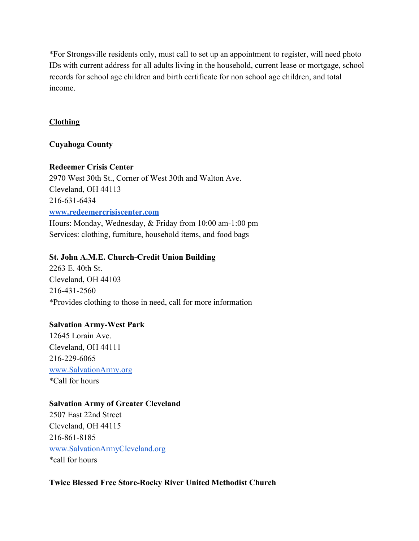\*For Strongsville residents only, must call to set up an appointment to register, will need photo IDs with current address for all adults living in the household, current lease or mortgage, school records for school age children and birth certificate for non school age children, and total income.

## **Clothing**

## **Cuyahoga County**

## **Redeemer Crisis Center**

2970 West 30th St., Corner of West 30th and Walton Ave. Cleveland, OH 44113 216-631-6434 **[www.redeemercrisiscenter.com](http://www.redeemercrisiscenter.com/)** Hours: Monday, Wednesday, & Friday from 10:00 am-1:00 pm

Services: clothing, furniture, household items, and food bags

# **St. John A.M.E. Church-Credit Union Building**

2263 E. 40th St. Cleveland, OH 44103 216-431-2560 \*Provides clothing to those in need, call for more information

# **Salvation Army-West Park**

12645 Lorain Ave. Cleveland, OH 44111 216-229-6065 [www.SalvationArmy.org](http://www.salvationarmy.org/) \*Call for hours

# **Salvation Army of Greater Cleveland**

2507 East 22nd Street Cleveland, OH 44115 216-861-8185 [www.SalvationArmyCleveland.org](http://www.salvationarmycleveland.org/) \*call for hours

**Twice Blessed Free Store-Rocky River United Methodist Church**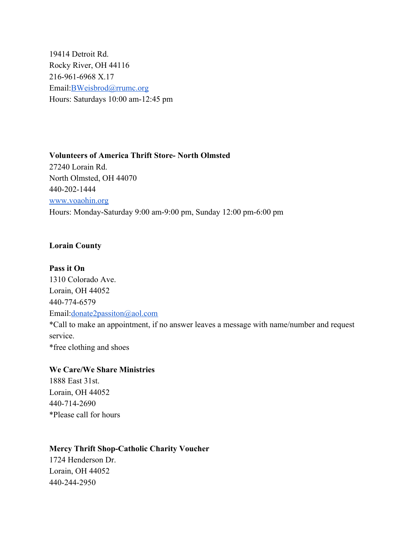19414 Detroit Rd. Rocky River, OH 44116 216-961-6968 X.17 Email:[BWeisbrod@rrumc.org](mailto:BWeisbrod@rrumc.org) Hours: Saturdays 10:00 am-12:45 pm

**Volunteers of America Thrift Store- North Olmsted** 27240 Lorain Rd. North Olmsted, OH 44070 440-202-1444 [www.voaohin.org](http://www.voaohin.org/) Hours: Monday-Saturday 9:00 am-9:00 pm, Sunday 12:00 pm-6:00 pm

#### **Lorain County**

**Pass it On** 1310 Colorado Ave. Lorain, OH 44052 440-774-6579 Email:[donate2passiton@aol.com](mailto:donate2passiton@aol.com) \*Call to make an appointment, if no answer leaves a message with name/number and request service. \*free clothing and shoes

#### **We Care/We Share Ministries**

1888 East 31st. Lorain, OH 44052 440-714-2690 \*Please call for hours

#### **Mercy Thrift Shop-Catholic Charity Voucher**

1724 Henderson Dr. Lorain, OH 44052 440-244-2950